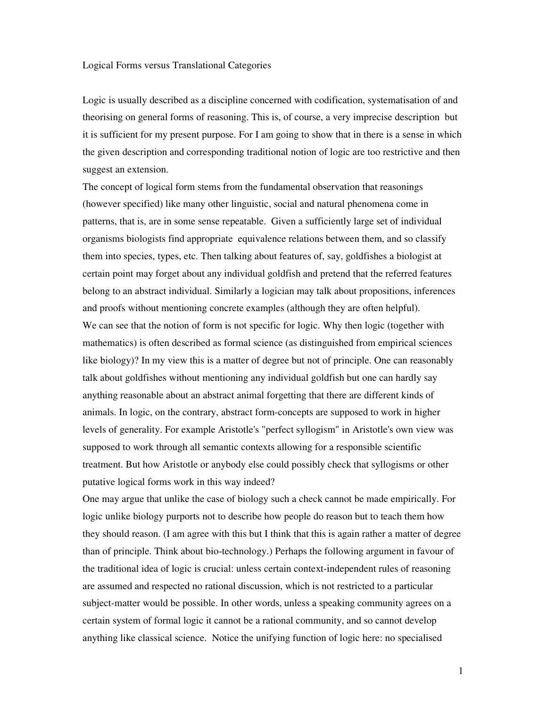## Logical Forms versus Translational Categories

Logic is usually described as a discipline concerned with codification, systematisation of and theorising on general forms of reasoning. This is, of course, a very imprecise description but it is sufficient for my present purpose. For I am going to show that in there is a sense in which the given description and corresponding traditional notion of logic are too restrictive and then suggest an extension.

The concept of logical form stems from the fundamental observation that reasonings (however specified) like many other linguistic, social and natural phenomena come in patterns, that is, are in some sense repeatable. Given a sufficiently large set of individual organisms biologists find appropriate equivalence relations between them, and so classify them into species, types, etc. Then talking about features of, say, goldfishes a biologist at certain point may forget about any individual goldfish and pretend that the referred features belong to an abstract individual. Similarly a logician may talk about propositions, inferences and proofs without mentioning concrete examples (although they are often helpful). We can see that the notion of form is not specific for logic. Why then logic (together with mathematics) is often described as formal science (as distinguished from empirical sciences like biology)? In my view this is a matter of degree but not of principle. One can reasonably talk about goldfishes without mentioning any individual goldfish but one can hardly say anything reasonable about an abstract animal forgetting that there are different kinds of animals. In logic, on the contrary, abstract form-concepts are supposed to work in higher levels of generality. For example Aristotle's "perfect syllogism" in Aristotle's own view was supposed to work through all semantic contexts allowing for a responsible scientific treatment. But how Aristotle or anybody else could possibly check that syllogisms or other putative logical forms work in this way indeed?

One may argue that unlike the case of biology such a check cannot be made empirically. For logic unlike biology purports not to describe how people do reason but to teach them how they should reason. (I am agree with this but I think that this is again rather a matter of degree than of principle. Think about bio-technology.) Perhaps the following argument in favour of the traditional idea of logic is crucial: unless certain context-independent rules of reasoning are assumed and respected no rational discussion, which is not restricted to a particular subject-matter would be possible. In other words, unless a speaking community agrees on a certain system of formal logic it cannot be a rational community, and so cannot develop anything like classical science. Notice the unifying function of logic here: no specialised

1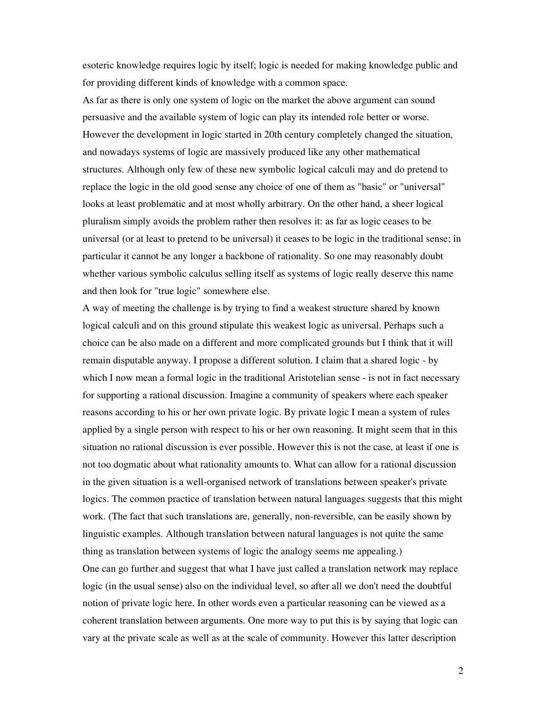esoteric knowledge requires logic by itself; logic is needed for making knowledge public and for providing different kinds of knowledge with a common space.

As far as there is only one system of logic on the market the above argument can sound persuasive and the available system of logic can play its intended role better or worse. However the development in logic started in 20th century completely changed the situation, and nowadays systems of logic are massively produced like any other mathematical structures. Although only few of these new symbolic logical calculi may and do pretend to replace the logic in the old good sense any choice of one of them as "basic" or "universal" looks at least problematic and at most wholly arbitrary. On the other hand, a sheer logical pluralism simply avoids the problem rather then resolves it: as far as logic ceases to be universal (or at least to pretend to be universal) it ceases to be logic in the traditional sense; in particular it cannot be any longer a backbone of rationality. So one may reasonably doubt whether various symbolic calculus selling itself as systems of logic really deserve this name and then look for "true logic" somewhere else.

A way of meeting the challenge is by trying to find a weakest structure shared by known logical calculi and on this ground stipulate this weakest logic as universal. Perhaps such a choice can be also made on a different and more complicated grounds but I think that it will remain disputable anyway. I propose a different solution. I claim that a shared logic - by which I now mean a formal logic in the traditional Aristotelian sense - is not in fact necessary for supporting a rational discussion. Imagine a community of speakers where each speaker reasons according to his or her own private logic. By private logic I mean a system of rules applied by a single person with respect to his or her own reasoning. It might seem that in this situation no rational discussion is ever possible. However this is not the case, at least if one is not too dogmatic about what rationality amounts to. What can allow for a rational discussion in the given situation is a well-organised network of translations between speaker's private logics. The common practice of translation between natural languages suggests that this might work. (The fact that such translations are, generally, non-reversible, can be easily shown by linguistic examples. Although translation between natural languages is not quite the same thing as translation between systems of logic the analogy seems me appealing.) One can go further and suggest that what I have just called a translation network may replace logic (in the usual sense) also on the individual level, so after all we don't need the doubtful notion of private logic here. In other words even a particular reasoning can be viewed as a coherent translation between arguments. One more way to put this is by saying that logic can vary at the private scale as well as at the scale of community. However this latter description

2